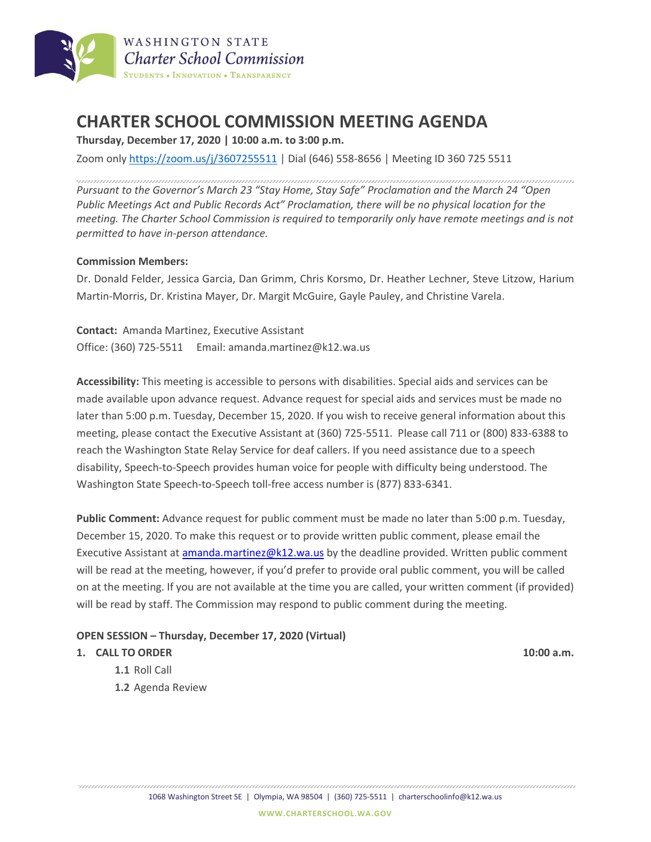

# **CHARTER SCHOOL COMMISSION MEETING AGENDA**

**Thursday, December 17, 2020 | 10:00 a.m. to 3:00 p.m.**

Zoom only <https://zoom.us/j/3607255511> | Dial (646) 558-8656 | Meeting ID 360 725 5511

*Pursuant to the Governor's March 23 "Stay Home, Stay Safe" Proclamation and the March 24 "Open Public Meetings Act and Public Records Act" Proclamation, there will be no physical location for the meeting. The Charter School Commission is required to temporarily only have remote meetings and is not permitted to have in-person attendance.*

### **Commission Members:**

Dr. Donald Felder, Jessica Garcia, Dan Grimm, Chris Korsmo, Dr. Heather Lechner, Steve Litzow, Harium Martin-Morris, Dr. Kristina Mayer, Dr. Margit McGuire, Gayle Pauley, and Christine Varela.

**Contact:** Amanda Martinez, Executive Assistant Office: (360) 725-5511 Email: amanda.martinez@k12.wa.us

**Accessibility:** This meeting is accessible to persons with disabilities. Special aids and services can be made available upon advance request. Advance request for special aids and services must be made no later than 5:00 p.m. Tuesday, December 15, 2020. If you wish to receive general information about this meeting, please contact the Executive Assistant at (360) 725-5511. Please call 711 or (800) 833-6388 to reach the Washington State Relay Service for deaf callers. If you need assistance due to a speech disability, Speech-to-Speech provides human voice for people with difficulty being understood. The Washington State Speech-to-Speech toll-free access number is (877) 833-6341.

**Public Comment:** Advance request for public comment must be made no later than 5:00 p.m. Tuesday, December 15, 2020. To make this request or to provide written public comment, please email the Executive Assistant at [amanda.martinez@k12.wa.us](mailto:amanda.martinez@k12.wa.us) by the deadline provided. Written public comment will be read at the meeting, however, if you'd prefer to provide oral public comment, you will be called on at the meeting. If you are not available at the time you are called, your written comment (if provided) will be read by staff. The Commission may respond to public comment during the meeting.

#### **OPEN SESSION – Thursday, December 17, 2020 (Virtual)**

#### **1. CALL TO ORDER 10:00 a.m.**

- **1.1** Roll Call
- **1.2** Agenda Review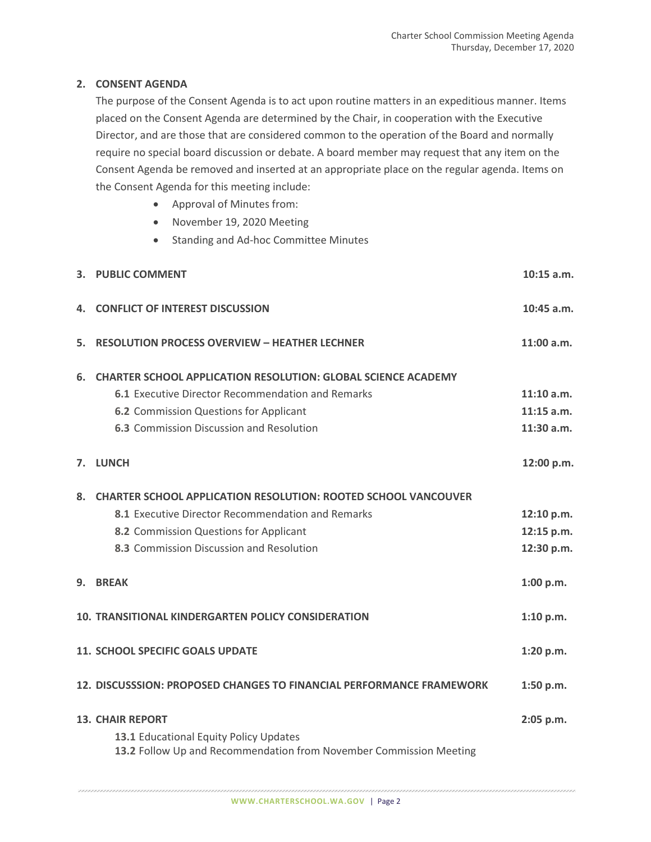## **2. CONSENT AGENDA**

The purpose of the Consent Agenda is to act upon routine matters in an expeditious manner. Items placed on the Consent Agenda are determined by the Chair, in cooperation with the Executive Director, and are those that are considered common to the operation of the Board and normally require no special board discussion or debate. A board member may request that any item on the Consent Agenda be removed and inserted at an appropriate place on the regular agenda. Items on the Consent Agenda for this meeting include:

- Approval of Minutes from:
- November 19, 2020 Meeting
- Standing and Ad-hoc Committee Minutes

|                                                                      | 3. PUBLIC COMMENT                                                     | $10:15$ a.m. |
|----------------------------------------------------------------------|-----------------------------------------------------------------------|--------------|
| 4.                                                                   | <b>CONFLICT OF INTEREST DISCUSSION</b>                                | $10:45$ a.m. |
| 5.                                                                   | <b>RESOLUTION PROCESS OVERVIEW - HEATHER LECHNER</b>                  | 11:00 a.m.   |
| 6.                                                                   | <b>CHARTER SCHOOL APPLICATION RESOLUTION: GLOBAL SCIENCE ACADEMY</b>  |              |
|                                                                      | 6.1 Executive Director Recommendation and Remarks                     | $11:10$ a.m. |
|                                                                      | 6.2 Commission Questions for Applicant                                | $11:15$ a.m. |
|                                                                      | 6.3 Commission Discussion and Resolution                              | 11:30 a.m.   |
| 7.                                                                   | <b>LUNCH</b>                                                          | 12:00 p.m.   |
| 8.                                                                   | <b>CHARTER SCHOOL APPLICATION RESOLUTION: ROOTED SCHOOL VANCOUVER</b> |              |
|                                                                      | 8.1 Executive Director Recommendation and Remarks                     | 12:10 p.m.   |
|                                                                      | 8.2 Commission Questions for Applicant                                | 12:15 p.m.   |
|                                                                      | 8.3 Commission Discussion and Resolution                              | 12:30 p.m.   |
| 9.                                                                   | <b>BREAK</b>                                                          | 1:00 p.m.    |
| <b>10. TRANSITIONAL KINDERGARTEN POLICY CONSIDERATION</b>            |                                                                       |              |
|                                                                      | <b>11. SCHOOL SPECIFIC GOALS UPDATE</b>                               | 1:20 p.m.    |
| 12. DISCUSSSION: PROPOSED CHANGES TO FINANCIAL PERFORMANCE FRAMEWORK |                                                                       |              |
| <b>13. CHAIR REPORT</b>                                              |                                                                       |              |
|                                                                      | 13.1 Educational Equity Policy Updates                                |              |
|                                                                      | 13.2 Follow Up and Recommendation from November Commission Meeting    |              |